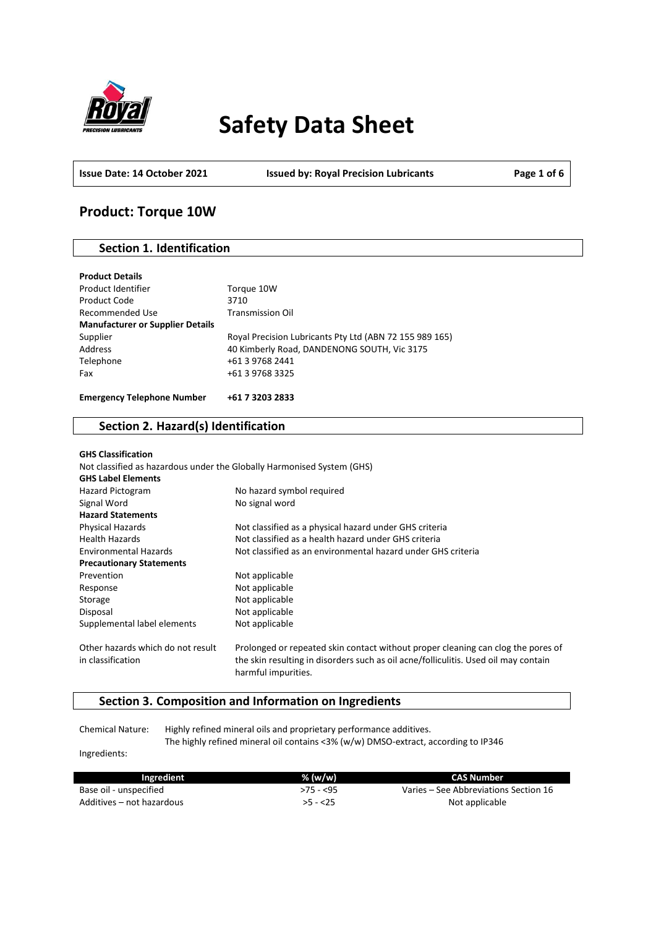

# **Safety Data Sheet**

**Issue Date: 14 October 2021 Issued by: Royal Precision Lubricants Page 1 of 6**

# **Product: Torque 10W**

# **Section 1. Identification**

| <b>Product Details</b>                  |                                                         |
|-----------------------------------------|---------------------------------------------------------|
| Product Identifier                      | Torque 10W                                              |
| Product Code                            | 3710                                                    |
| Recommended Use                         | <b>Transmission Oil</b>                                 |
| <b>Manufacturer or Supplier Details</b> |                                                         |
| Supplier                                | Royal Precision Lubricants Pty Ltd (ABN 72 155 989 165) |
| Address                                 | 40 Kimberly Road, DANDENONG SOUTH, Vic 3175             |
| Telephone                               | +61 3 9768 2441                                         |
| Fax                                     | +61 3 9768 3325                                         |
|                                         |                                                         |
| <b>Emergency Telephone Number</b>       | +61 7 3203 2833                                         |

# **Section 2. Hazard(s) Identification**

| <b>GHS Classification</b>                              |                                                                                                                                                                         |
|--------------------------------------------------------|-------------------------------------------------------------------------------------------------------------------------------------------------------------------------|
|                                                        | Not classified as hazardous under the Globally Harmonised System (GHS)                                                                                                  |
| <b>GHS Label Elements</b>                              |                                                                                                                                                                         |
| <b>Hazard Pictogram</b>                                | No hazard symbol required                                                                                                                                               |
| Signal Word                                            | No signal word                                                                                                                                                          |
| <b>Hazard Statements</b>                               |                                                                                                                                                                         |
| <b>Physical Hazards</b>                                | Not classified as a physical hazard under GHS criteria                                                                                                                  |
| <b>Health Hazards</b>                                  | Not classified as a health hazard under GHS criteria                                                                                                                    |
| <b>Environmental Hazards</b>                           | Not classified as an environmental hazard under GHS criteria                                                                                                            |
| <b>Precautionary Statements</b>                        |                                                                                                                                                                         |
| Prevention                                             | Not applicable                                                                                                                                                          |
| Response                                               | Not applicable                                                                                                                                                          |
| Storage                                                | Not applicable                                                                                                                                                          |
| Disposal                                               | Not applicable                                                                                                                                                          |
| Supplemental label elements                            | Not applicable                                                                                                                                                          |
| Other hazards which do not result<br>in classification | Prolonged or repeated skin contact without proper cleaning can clog the pores of<br>the skin resulting in disorders such as oil acne/folliculitis. Used oil may contain |
|                                                        | harmful impurities.                                                                                                                                                     |

# **Section 3. Composition and Information on Ingredients**

Chemical Nature: Highly refined mineral oils and proprietary performance additives. The highly refined mineral oil contains <3% (w/w) DMSO-extract, according to IP346

Ingredients:

| Ingredient                | $%$ (w/w)  | CAS Number                            |
|---------------------------|------------|---------------------------------------|
| Base oil - unspecified    | $>75 - 55$ | Varies – See Abbreviations Section 16 |
| Additives – not hazardous | $>5 - 25$  | Not applicable                        |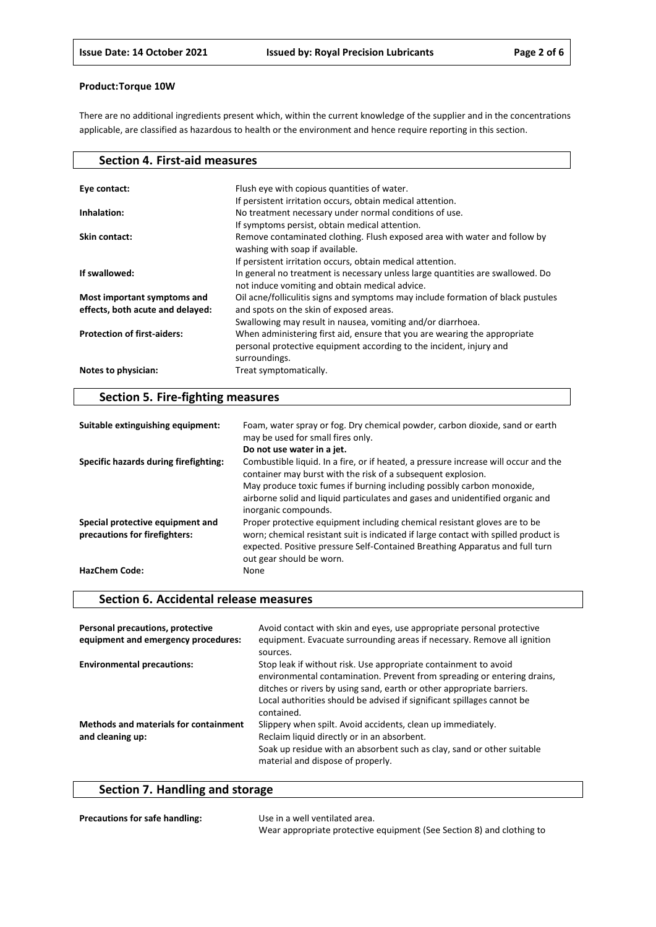There are no additional ingredients present which, within the current knowledge of the supplier and in the concentrations applicable, are classified as hazardous to health or the environment and hence require reporting in this section.

| <b>Section 4. First-aid measures</b> |                                                                                  |
|--------------------------------------|----------------------------------------------------------------------------------|
|                                      |                                                                                  |
| Eye contact:                         | Flush eye with copious quantities of water.                                      |
|                                      | If persistent irritation occurs, obtain medical attention.                       |
| Inhalation:                          | No treatment necessary under normal conditions of use.                           |
|                                      | If symptoms persist, obtain medical attention.                                   |
| Skin contact:                        | Remove contaminated clothing. Flush exposed area with water and follow by        |
|                                      | washing with soap if available.                                                  |
|                                      | If persistent irritation occurs, obtain medical attention.                       |
| If swallowed:                        | In general no treatment is necessary unless large quantities are swallowed. Do   |
|                                      | not induce vomiting and obtain medical advice.                                   |
| Most important symptoms and          | Oil acne/folliculitis signs and symptoms may include formation of black pustules |
| effects, both acute and delayed:     | and spots on the skin of exposed areas.                                          |
|                                      | Swallowing may result in nausea, vomiting and/or diarrhoea.                      |
| <b>Protection of first-aiders:</b>   | When administering first aid, ensure that you are wearing the appropriate        |
|                                      | personal protective equipment according to the incident, injury and              |
|                                      | surroundings.                                                                    |
| Notes to physician:                  | Treat symptomatically.                                                           |
|                                      |                                                                                  |

# **Section 5. Fire-fighting measures**

| Suitable extinguishing equipment:                                 | Foam, water spray or fog. Dry chemical powder, carbon dioxide, sand or earth<br>may be used for small fires only.                                                                                                                                                            |
|-------------------------------------------------------------------|------------------------------------------------------------------------------------------------------------------------------------------------------------------------------------------------------------------------------------------------------------------------------|
|                                                                   | Do not use water in a jet.                                                                                                                                                                                                                                                   |
| Specific hazards during firefighting:                             | Combustible liquid. In a fire, or if heated, a pressure increase will occur and the<br>container may burst with the risk of a subsequent explosion.                                                                                                                          |
|                                                                   | May produce toxic fumes if burning including possibly carbon monoxide,<br>airborne solid and liquid particulates and gases and unidentified organic and<br>inorganic compounds.                                                                                              |
| Special protective equipment and<br>precautions for firefighters: | Proper protective equipment including chemical resistant gloves are to be<br>worn; chemical resistant suit is indicated if large contact with spilled product is<br>expected. Positive pressure Self-Contained Breathing Apparatus and full turn<br>out gear should be worn. |
| <b>HazChem Code:</b>                                              | None                                                                                                                                                                                                                                                                         |

## **Section 6. Accidental release measures**

| Personal precautions, protective<br>equipment and emergency procedures: | Avoid contact with skin and eyes, use appropriate personal protective<br>equipment. Evacuate surrounding areas if necessary. Remove all ignition<br>sources.                                                                                                                                                |
|-------------------------------------------------------------------------|-------------------------------------------------------------------------------------------------------------------------------------------------------------------------------------------------------------------------------------------------------------------------------------------------------------|
| <b>Environmental precautions:</b>                                       | Stop leak if without risk. Use appropriate containment to avoid<br>environmental contamination. Prevent from spreading or entering drains,<br>ditches or rivers by using sand, earth or other appropriate barriers.<br>Local authorities should be advised if significant spillages cannot be<br>contained. |
| <b>Methods and materials for containment</b><br>and cleaning up:        | Slippery when spilt. Avoid accidents, clean up immediately.<br>Reclaim liquid directly or in an absorbent.<br>Soak up residue with an absorbent such as clay, sand or other suitable<br>material and dispose of properly.                                                                                   |

# **Section 7. Handling and storage**

| <b>Precautions for safe handling:</b> | Use in a well ventilated area.                                        |
|---------------------------------------|-----------------------------------------------------------------------|
|                                       | Wear appropriate protective equipment (See Section 8) and clothing to |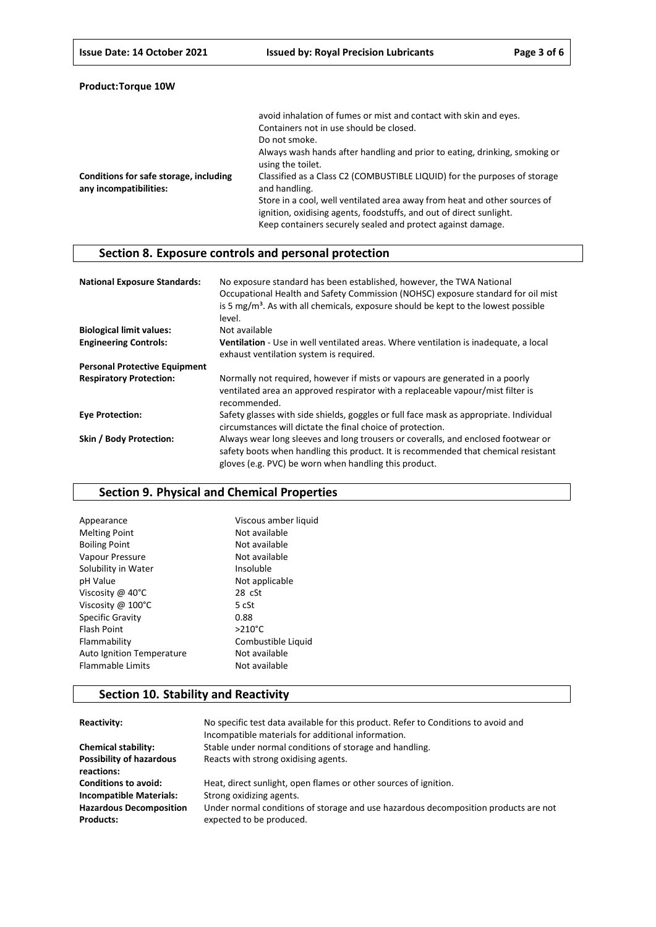| <b>Product:Torque 10W</b> |  |
|---------------------------|--|
|---------------------------|--|

|                                                                  | avoid inhalation of fumes or mist and contact with skin and eyes.                                                                                                                                               |
|------------------------------------------------------------------|-----------------------------------------------------------------------------------------------------------------------------------------------------------------------------------------------------------------|
|                                                                  | Containers not in use should be closed.                                                                                                                                                                         |
|                                                                  | Do not smoke.                                                                                                                                                                                                   |
|                                                                  | Always wash hands after handling and prior to eating, drinking, smoking or<br>using the toilet.                                                                                                                 |
| Conditions for safe storage, including<br>any incompatibilities: | Classified as a Class C2 (COMBUSTIBLE LIQUID) for the purposes of storage<br>and handling.                                                                                                                      |
|                                                                  | Store in a cool, well ventilated area away from heat and other sources of<br>ignition, oxidising agents, foodstuffs, and out of direct sunlight.<br>Keep containers securely sealed and protect against damage. |

# **Section 8. Exposure controls and personal protection**

| <b>National Exposure Standards:</b>  | No exposure standard has been established, however, the TWA National<br>Occupational Health and Safety Commission (NOHSC) exposure standard for oil mist<br>is 5 mg/m <sup>3</sup> . As with all chemicals, exposure should be kept to the lowest possible<br>level. |
|--------------------------------------|----------------------------------------------------------------------------------------------------------------------------------------------------------------------------------------------------------------------------------------------------------------------|
| <b>Biological limit values:</b>      | Not available                                                                                                                                                                                                                                                        |
| <b>Engineering Controls:</b>         | Ventilation - Use in well ventilated areas. Where ventilation is inadequate, a local<br>exhaust ventilation system is required.                                                                                                                                      |
| <b>Personal Protective Equipment</b> |                                                                                                                                                                                                                                                                      |
| <b>Respiratory Protection:</b>       | Normally not required, however if mists or vapours are generated in a poorly<br>ventilated area an approved respirator with a replaceable vapour/mist filter is<br>recommended.                                                                                      |
| <b>Eye Protection:</b>               | Safety glasses with side shields, goggles or full face mask as appropriate. Individual<br>circumstances will dictate the final choice of protection.                                                                                                                 |
| Skin / Body Protection:              | Always wear long sleeves and long trousers or coveralls, and enclosed footwear or<br>safety boots when handling this product. It is recommended that chemical resistant<br>gloves (e.g. PVC) be worn when handling this product.                                     |

# **Section 9. Physical and Chemical Properties**

| Viscous amber liquid |
|----------------------|
| Not available        |
| Not available        |
| Not available        |
| Insoluble            |
| Not applicable       |
| $28 \text{ cSt}$     |
| 5 cSt                |
| 0.88                 |
| $>210^{\circ}$ C     |
| Combustible Liquid   |
| Not available        |
| Not available        |
|                      |

# **Section 10. Stability and Reactivity**

| Reactivity:                                        | No specific test data available for this product. Refer to Conditions to avoid and<br>Incompatible materials for additional information. |
|----------------------------------------------------|------------------------------------------------------------------------------------------------------------------------------------------|
| <b>Chemical stability:</b>                         | Stable under normal conditions of storage and handling.                                                                                  |
| <b>Possibility of hazardous</b><br>reactions:      | Reacts with strong oxidising agents.                                                                                                     |
| <b>Conditions to avoid:</b>                        | Heat, direct sunlight, open flames or other sources of ignition.                                                                         |
| <b>Incompatible Materials:</b>                     | Strong oxidizing agents.                                                                                                                 |
| <b>Hazardous Decomposition</b><br><b>Products:</b> | Under normal conditions of storage and use hazardous decomposition products are not<br>expected to be produced.                          |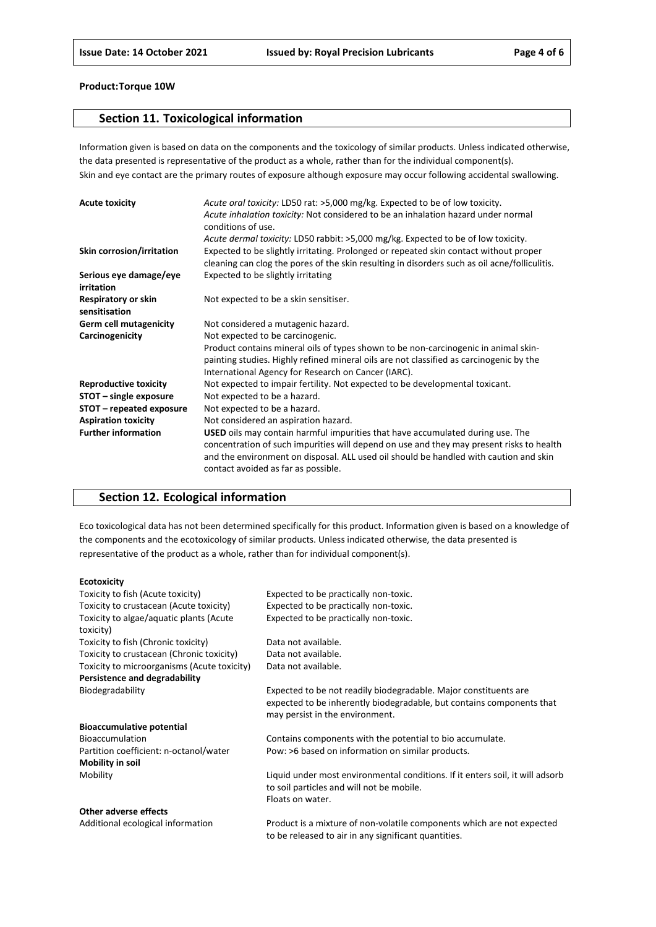# **Section 11. Toxicological information**

Information given is based on data on the components and the toxicology of similar products. Unless indicated otherwise, the data presented is representative of the product as a whole, rather than for the individual component(s). Skin and eye contact are the primary routes of exposure although exposure may occur following accidental swallowing.

| <b>Acute toxicity</b>                | Acute oral toxicity: LD50 rat: >5,000 mg/kg. Expected to be of low toxicity.<br>Acute inhalation toxicity: Not considered to be an inhalation hazard under normal<br>conditions of use.                                                                                                                           |
|--------------------------------------|-------------------------------------------------------------------------------------------------------------------------------------------------------------------------------------------------------------------------------------------------------------------------------------------------------------------|
|                                      | Acute dermal toxicity: LD50 rabbit: >5,000 mg/kg. Expected to be of low toxicity.                                                                                                                                                                                                                                 |
| Skin corrosion/irritation            | Expected to be slightly irritating. Prolonged or repeated skin contact without proper<br>cleaning can clog the pores of the skin resulting in disorders such as oil acne/folliculitis.                                                                                                                            |
| Serious eye damage/eye<br>irritation | Expected to be slightly irritating                                                                                                                                                                                                                                                                                |
| Respiratory or skin<br>sensitisation | Not expected to be a skin sensitiser.                                                                                                                                                                                                                                                                             |
| <b>Germ cell mutagenicity</b>        | Not considered a mutagenic hazard.                                                                                                                                                                                                                                                                                |
| Carcinogenicity                      | Not expected to be carcinogenic.                                                                                                                                                                                                                                                                                  |
|                                      | Product contains mineral oils of types shown to be non-carcinogenic in animal skin-<br>painting studies. Highly refined mineral oils are not classified as carcinogenic by the<br>International Agency for Research on Cancer (IARC).                                                                             |
| <b>Reproductive toxicity</b>         | Not expected to impair fertility. Not expected to be developmental toxicant.                                                                                                                                                                                                                                      |
| STOT - single exposure               | Not expected to be a hazard.                                                                                                                                                                                                                                                                                      |
| STOT – repeated exposure             | Not expected to be a hazard.                                                                                                                                                                                                                                                                                      |
| <b>Aspiration toxicity</b>           | Not considered an aspiration hazard.                                                                                                                                                                                                                                                                              |
| <b>Further information</b>           | <b>USED</b> oils may contain harmful impurities that have accumulated during use. The<br>concentration of such impurities will depend on use and they may present risks to health<br>and the environment on disposal. ALL used oil should be handled with caution and skin<br>contact avoided as far as possible. |

# **Section 12. Ecological information**

Eco toxicological data has not been determined specifically for this product. Information given is based on a knowledge of the components and the ecotoxicology of similar products. Unless indicated otherwise, the data presented is representative of the product as a whole, rather than for individual component(s).

#### **Ecotoxicity**

| Toxicity to fish (Acute toxicity)           | Expected to be practically non-toxic.                                         |
|---------------------------------------------|-------------------------------------------------------------------------------|
|                                             |                                                                               |
| Toxicity to crustacean (Acute toxicity)     | Expected to be practically non-toxic.                                         |
| Toxicity to algae/aquatic plants (Acute     | Expected to be practically non-toxic.                                         |
| toxicity)                                   |                                                                               |
| Toxicity to fish (Chronic toxicity)         | Data not available.                                                           |
| Toxicity to crustacean (Chronic toxicity)   | Data not available.                                                           |
| Toxicity to microorganisms (Acute toxicity) | Data not available.                                                           |
| Persistence and degradability               |                                                                               |
| Biodegradability                            | Expected to be not readily biodegradable. Major constituents are              |
|                                             | expected to be inherently biodegradable, but contains components that         |
|                                             | may persist in the environment.                                               |
| <b>Bioaccumulative potential</b>            |                                                                               |
| Bioaccumulation                             | Contains components with the potential to bio accumulate.                     |
| Partition coefficient: n-octanol/water      | Pow: >6 based on information on similar products.                             |
| <b>Mobility in soil</b>                     |                                                                               |
| Mobility                                    | Liquid under most environmental conditions. If it enters soil, it will adsorb |
|                                             | to soil particles and will not be mobile.                                     |
|                                             | Floats on water.                                                              |
| Other adverse effects                       |                                                                               |
| Additional ecological information           | Product is a mixture of non-volatile components which are not expected        |

to be released to air in any significant quantities.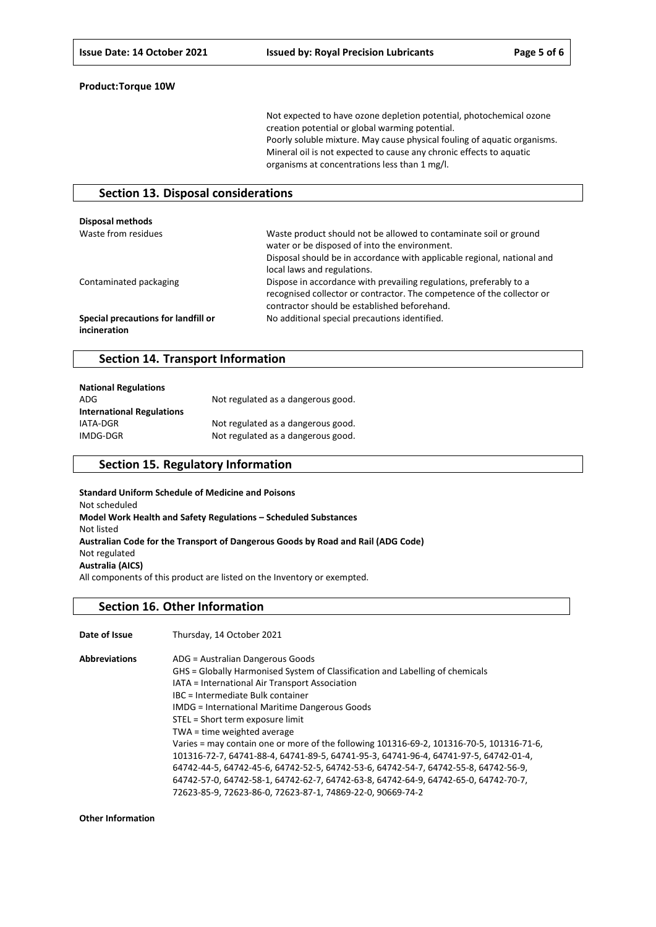Not expected to have ozone depletion potential, photochemical ozone creation potential or global warming potential. Poorly soluble mixture. May cause physical fouling of aquatic organisms. Mineral oil is not expected to cause any chronic effects to aquatic organisms at concentrations less than 1 mg/l.

### **Section 13. Disposal considerations**

| Disposal methods                                    |                                                                                                                                                                                                                              |
|-----------------------------------------------------|------------------------------------------------------------------------------------------------------------------------------------------------------------------------------------------------------------------------------|
| Waste from residues                                 | Waste product should not be allowed to contaminate soil or ground<br>water or be disposed of into the environment.<br>Disposal should be in accordance with applicable regional, national and<br>local laws and regulations. |
| Contaminated packaging                              | Dispose in accordance with prevailing regulations, preferably to a<br>recognised collector or contractor. The competence of the collector or<br>contractor should be established beforehand.                                 |
| Special precautions for landfill or<br>incineration | No additional special precautions identified.                                                                                                                                                                                |

### **Section 14. Transport Information**

| <b>National Regulations</b>      |                                    |
|----------------------------------|------------------------------------|
| ADG                              | Not regulated as a dangerous good. |
| <b>International Regulations</b> |                                    |
| IATA-DGR                         | Not regulated as a dangerous good. |
| IMDG-DGR                         | Not regulated as a dangerous good. |

## **Section 15. Regulatory Information**

**Standard Uniform Schedule of Medicine and Poisons** Not scheduled **Model Work Health and Safety Regulations – Scheduled Substances** Not listed **Australian Code for the Transport of Dangerous Goods by Road and Rail (ADG Code)** Not regulated **Australia (AICS)** All components of this product are listed on the Inventory or exempted.

### **Section 16. Other Information**

**Date of Issue** Thursday, 14 October 2021 **Abbreviations** ADG = Australian Dangerous Goods

| GHS = Globally Harmonised System of Classification and Labelling of chemicals            |
|------------------------------------------------------------------------------------------|
| IATA = International Air Transport Association                                           |
| IBC = Intermediate Bulk container                                                        |
| <b>IMDG</b> = International Maritime Dangerous Goods                                     |
| STEL = Short term exposure limit                                                         |
| TWA = time weighted average                                                              |
| Varies = may contain one or more of the following 101316-69-2, 101316-70-5, 101316-71-6, |
| 101316-72-7, 64741-88-4, 64741-89-5, 64741-95-3, 64741-96-4, 64741-97-5, 64742-01-4,     |
| 64742-44-5, 64742-45-6, 64742-52-5, 64742-53-6, 64742-54-7, 64742-55-8, 64742-56-9,      |
| 64742-57-0, 64742-58-1, 64742-62-7, 64742-63-8, 64742-64-9, 64742-65-0, 64742-70-7,      |
| 72623-85-9, 72623-86-0, 72623-87-1, 74869-22-0, 90669-74-2                               |
|                                                                                          |

**Other Information**